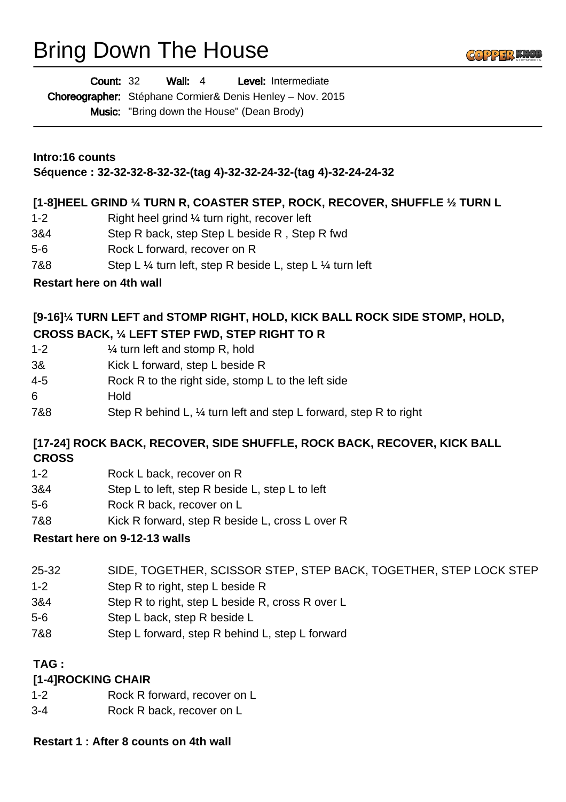# Bring Down The House



Choreographer: Stéphane Cormier& Denis Henley - Nov. 2015 Music: "Bring down the House" (Dean Brody)

**Intro:16 counts**

**Séquence : 32-32-32-8-32-32-(tag 4)-32-32-24-32-(tag 4)-32-24-24-32**

#### **[1-8]HEEL GRIND ¼ TURN R, COASTER STEP, ROCK, RECOVER, SHUFFLE ½ TURN L**

- 1-2 Right heel grind ¼ turn right, recover left
- 3&4 Step R back, step Step L beside R , Step R fwd
- 5-6 Rock L forward, recover on R
- 7&8 Step L ¼ turn left, step R beside L, step L ¼ turn left
- **Restart here on 4th wall**

### **[9-16]¼ TURN LEFT and STOMP RIGHT, HOLD, KICK BALL ROCK SIDE STOMP, HOLD, CROSS BACK, ¼ LEFT STEP FWD, STEP RIGHT TO R**

- 1-2 ¼ turn left and stomp R, hold
- 3& Kick L forward, step L beside R
- 4-5 Rock R to the right side, stomp L to the left side
- 6 Hold
- 7&8 Step R behind L, ¼ turn left and step L forward, step R to right

#### **[17-24] ROCK BACK, RECOVER, SIDE SHUFFLE, ROCK BACK, RECOVER, KICK BALL CROSS**

- 1-2 Rock L back, recover on R
- 3&4 Step L to left, step R beside L, step L to left
- 5-6 Rock R back, recover on L
- 7&8 Kick R forward, step R beside L, cross L over R

### **Restart here on 9-12-13 walls**

- 25-32 SIDE, TOGETHER, SCISSOR STEP, STEP BACK, TOGETHER, STEP LOCK STEP
- 1-2 Step R to right, step L beside R
- 3&4 Step R to right, step L beside R, cross R over L
- 5-6 Step L back, step R beside L
- 7&8 Step L forward, step R behind L, step L forward

## **TAG :**

### **[1-4]ROCKING CHAIR**

- 1-2 Rock R forward, recover on L
- 3-4 Rock R back, recover on L

#### **Restart 1 : After 8 counts on 4th wall**